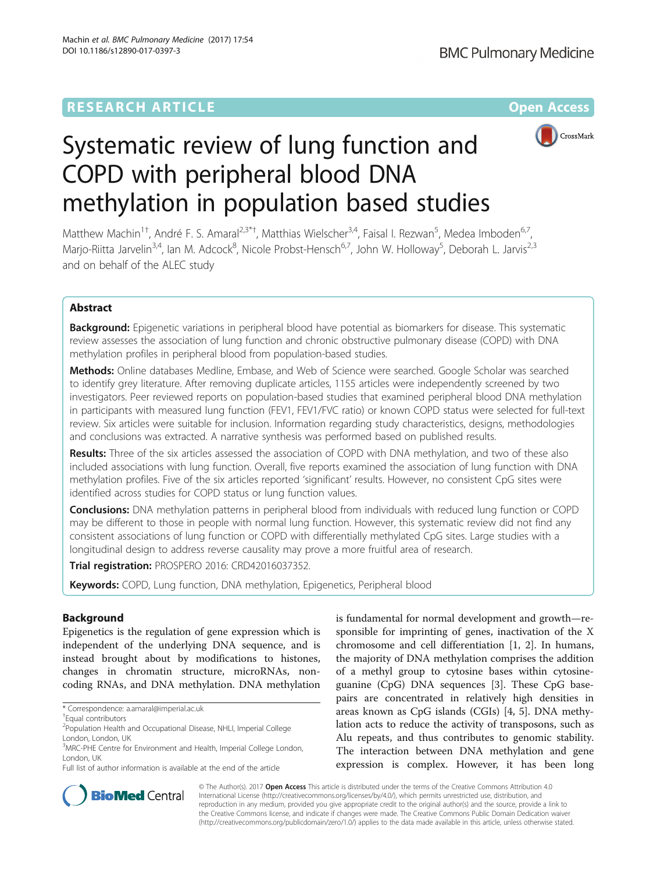

# Systematic review of lung function and COPD with peripheral blood DNA methylation in population based studies

Matthew Machin<sup>1+</sup>, André F. S. Amaral<sup>2,3\*†</sup>, Matthias Wielscher<sup>3,4</sup>, Faisal I. Rezwan<sup>5</sup>, Medea Imboden<sup>6,7</sup>, Marjo-Riitta Jarvelin<sup>3,4</sup>, Ian M. Adcock<sup>8</sup>, Nicole Probst-Hensch<sup>6,7</sup>, John W. Holloway<sup>5</sup>, Deborah L. Jarvis<sup>2,3</sup> and on behalf of the ALEC study

# Abstract

**Background:** Epigenetic variations in peripheral blood have potential as biomarkers for disease. This systematic review assesses the association of lung function and chronic obstructive pulmonary disease (COPD) with DNA methylation profiles in peripheral blood from population-based studies.

Methods: Online databases Medline, Embase, and Web of Science were searched. Google Scholar was searched to identify grey literature. After removing duplicate articles, 1155 articles were independently screened by two investigators. Peer reviewed reports on population-based studies that examined peripheral blood DNA methylation in participants with measured lung function (FEV1, FEV1/FVC ratio) or known COPD status were selected for full-text review. Six articles were suitable for inclusion. Information regarding study characteristics, designs, methodologies and conclusions was extracted. A narrative synthesis was performed based on published results.

Results: Three of the six articles assessed the association of COPD with DNA methylation, and two of these also included associations with lung function. Overall, five reports examined the association of lung function with DNA methylation profiles. Five of the six articles reported 'significant' results. However, no consistent CpG sites were identified across studies for COPD status or lung function values.

**Conclusions:** DNA methylation patterns in peripheral blood from individuals with reduced lung function or COPD may be different to those in people with normal lung function. However, this systematic review did not find any consistent associations of lung function or COPD with differentially methylated CpG sites. Large studies with a longitudinal design to address reverse causality may prove a more fruitful area of research.

Trial registration: PROSPERO 2016: [CRD42016037352.](https://www.crd.york.ac.uk/prospero/display_record.asp?ID=CRD42016037352)

Keywords: COPD, Lung function, DNA methylation, Epigenetics, Peripheral blood

# Background

Epigenetics is the regulation of gene expression which is independent of the underlying DNA sequence, and is instead brought about by modifications to histones, changes in chromatin structure, microRNAs, noncoding RNAs, and DNA methylation. DNA methylation is fundamental for normal development and growth—responsible for imprinting of genes, inactivation of the X chromosome and cell differentiation [[1, 2](#page-8-0)]. In humans, the majority of DNA methylation comprises the addition of a methyl group to cytosine bases within cytosineguanine (CpG) DNA sequences [\[3](#page-8-0)]. These CpG basepairs are concentrated in relatively high densities in areas known as CpG islands (CGIs) [\[4, 5\]](#page-8-0). DNA methylation acts to reduce the activity of transposons, such as Alu repeats, and thus contributes to genomic stability. The interaction between DNA methylation and gene expression is complex. However, it has been long



© The Author(s). 2017 **Open Access** This article is distributed under the terms of the Creative Commons Attribution 4.0 International License [\(http://creativecommons.org/licenses/by/4.0/](http://creativecommons.org/licenses/by/4.0/)), which permits unrestricted use, distribution, and reproduction in any medium, provided you give appropriate credit to the original author(s) and the source, provide a link to the Creative Commons license, and indicate if changes were made. The Creative Commons Public Domain Dedication waiver [\(http://creativecommons.org/publicdomain/zero/1.0/](http://creativecommons.org/publicdomain/zero/1.0/)) applies to the data made available in this article, unless otherwise stated.

<sup>\*</sup> Correspondence: [a.amaral@imperial.ac.uk](mailto:a.amaral@imperial.ac.uk) †

Equal contributors

<sup>&</sup>lt;sup>2</sup> Population Health and Occupational Disease, NHLI, Imperial College London, London, UK

<sup>&</sup>lt;sup>3</sup>MRC-PHE Centre for Environment and Health, Imperial College London, London, UK

Full list of author information is available at the end of the article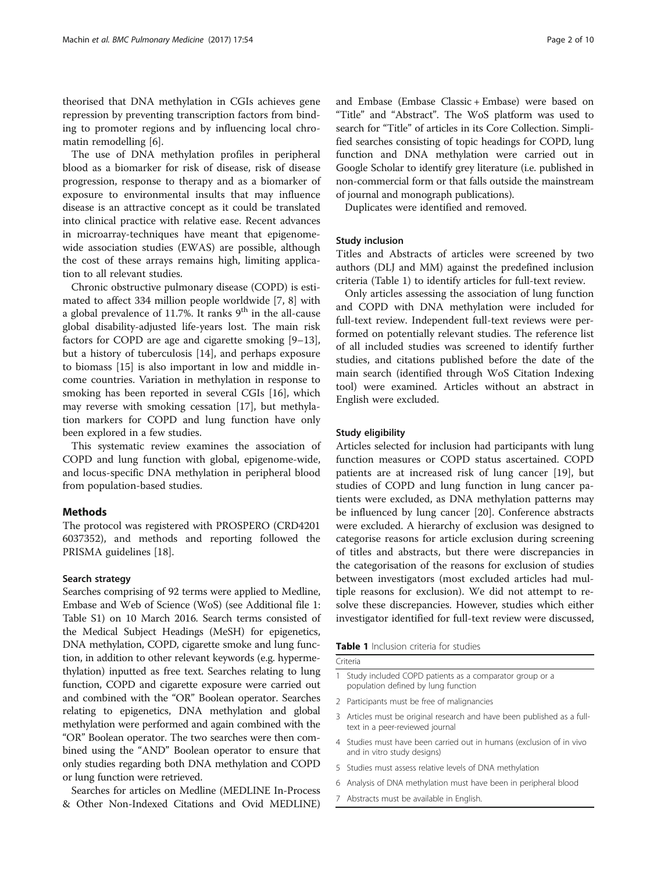theorised that DNA methylation in CGIs achieves gene repression by preventing transcription factors from binding to promoter regions and by influencing local chromatin remodelling [\[6](#page-8-0)].

The use of DNA methylation profiles in peripheral blood as a biomarker for risk of disease, risk of disease progression, response to therapy and as a biomarker of exposure to environmental insults that may influence disease is an attractive concept as it could be translated into clinical practice with relative ease. Recent advances in microarray-techniques have meant that epigenomewide association studies (EWAS) are possible, although the cost of these arrays remains high, limiting application to all relevant studies.

Chronic obstructive pulmonary disease (COPD) is estimated to affect 334 million people worldwide [\[7, 8](#page-8-0)] with a global prevalence of 11.7%. It ranks 9<sup>th</sup> in the all-cause global disability-adjusted life-years lost. The main risk factors for COPD are age and cigarette smoking [[9](#page-8-0)–[13](#page-8-0)], but a history of tuberculosis [[14\]](#page-8-0), and perhaps exposure to biomass [\[15](#page-8-0)] is also important in low and middle income countries. Variation in methylation in response to smoking has been reported in several CGIs [[16\]](#page-8-0), which may reverse with smoking cessation [\[17\]](#page-8-0), but methylation markers for COPD and lung function have only been explored in a few studies.

This systematic review examines the association of COPD and lung function with global, epigenome-wide, and locus-specific DNA methylation in peripheral blood from population-based studies.

## Methods

The protocol was registered with PROSPERO (CRD4201 6037352), and methods and reporting followed the PRISMA guidelines [[18\]](#page-8-0).

## Search strategy

Searches comprising of 92 terms were applied to Medline, Embase and Web of Science (WoS) (see Additional file [1](#page-7-0): Table S1) on 10 March 2016. Search terms consisted of the Medical Subject Headings (MeSH) for epigenetics, DNA methylation, COPD, cigarette smoke and lung function, in addition to other relevant keywords (e.g. hypermethylation) inputted as free text. Searches relating to lung function, COPD and cigarette exposure were carried out and combined with the "OR" Boolean operator. Searches relating to epigenetics, DNA methylation and global methylation were performed and again combined with the "OR" Boolean operator. The two searches were then combined using the "AND" Boolean operator to ensure that only studies regarding both DNA methylation and COPD or lung function were retrieved.

Searches for articles on Medline (MEDLINE In-Process & Other Non-Indexed Citations and Ovid MEDLINE) and Embase (Embase Classic + Embase) were based on "Title" and "Abstract". The WoS platform was used to search for "Title" of articles in its Core Collection. Simplified searches consisting of topic headings for COPD, lung function and DNA methylation were carried out in Google Scholar to identify grey literature (i.e. published in non-commercial form or that falls outside the mainstream of journal and monograph publications).

Duplicates were identified and removed.

#### Study inclusion

Titles and Abstracts of articles were screened by two authors (DLJ and MM) against the predefined inclusion criteria (Table 1) to identify articles for full-text review.

Only articles assessing the association of lung function and COPD with DNA methylation were included for full-text review. Independent full-text reviews were performed on potentially relevant studies. The reference list of all included studies was screened to identify further studies, and citations published before the date of the main search (identified through WoS Citation Indexing tool) were examined. Articles without an abstract in English were excluded.

#### Study eligibility

Articles selected for inclusion had participants with lung function measures or COPD status ascertained. COPD patients are at increased risk of lung cancer [[19\]](#page-8-0), but studies of COPD and lung function in lung cancer patients were excluded, as DNA methylation patterns may be influenced by lung cancer [\[20\]](#page-8-0). Conference abstracts were excluded. A hierarchy of exclusion was designed to categorise reasons for article exclusion during screening of titles and abstracts, but there were discrepancies in the categorisation of the reasons for exclusion of studies between investigators (most excluded articles had multiple reasons for exclusion). We did not attempt to resolve these discrepancies. However, studies which either investigator identified for full-text review were discussed,

Criteria

- 1 Study included COPD patients as a comparator group or a population defined by lung function
- 2 Participants must be free of malignancies
- 3 Articles must be original research and have been published as a fulltext in a peer-reviewed journal
- 4 Studies must have been carried out in humans (exclusion of in vivo and in vitro study designs)
- 5 Studies must assess relative levels of DNA methylation
- 6 Analysis of DNA methylation must have been in peripheral blood
- 7 Abstracts must be available in English.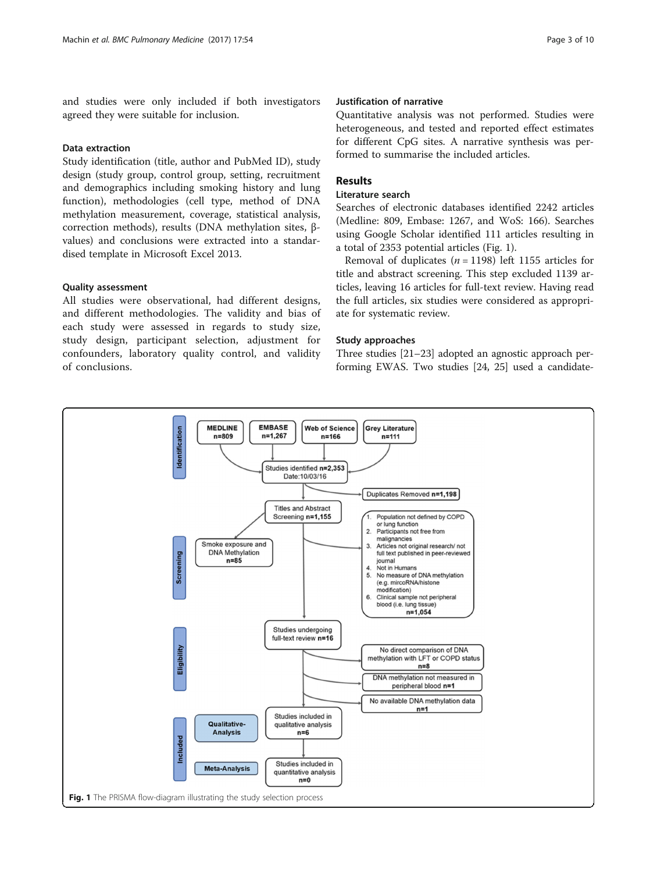and studies were only included if both investigators agreed they were suitable for inclusion.

## Data extraction

Study identification (title, author and PubMed ID), study design (study group, control group, setting, recruitment and demographics including smoking history and lung function), methodologies (cell type, method of DNA methylation measurement, coverage, statistical analysis, correction methods), results (DNA methylation sites, βvalues) and conclusions were extracted into a standardised template in Microsoft Excel 2013.

## Quality assessment

All studies were observational, had different designs, and different methodologies. The validity and bias of each study were assessed in regards to study size, study design, participant selection, adjustment for confounders, laboratory quality control, and validity of conclusions.

## Justification of narrative

Quantitative analysis was not performed. Studies were heterogeneous, and tested and reported effect estimates for different CpG sites. A narrative synthesis was performed to summarise the included articles.

## Results

## Literature search

Searches of electronic databases identified 2242 articles (Medline: 809, Embase: 1267, and WoS: 166). Searches using Google Scholar identified 111 articles resulting in a total of 2353 potential articles (Fig. 1).

Removal of duplicates ( $n = 1198$ ) left 1155 articles for title and abstract screening. This step excluded 1139 articles, leaving 16 articles for full-text review. Having read the full articles, six studies were considered as appropriate for systematic review.

#### Study approaches

Three studies [[21](#page-8-0)–[23\]](#page-8-0) adopted an agnostic approach performing EWAS. Two studies [\[24, 25\]](#page-8-0) used a candidate-

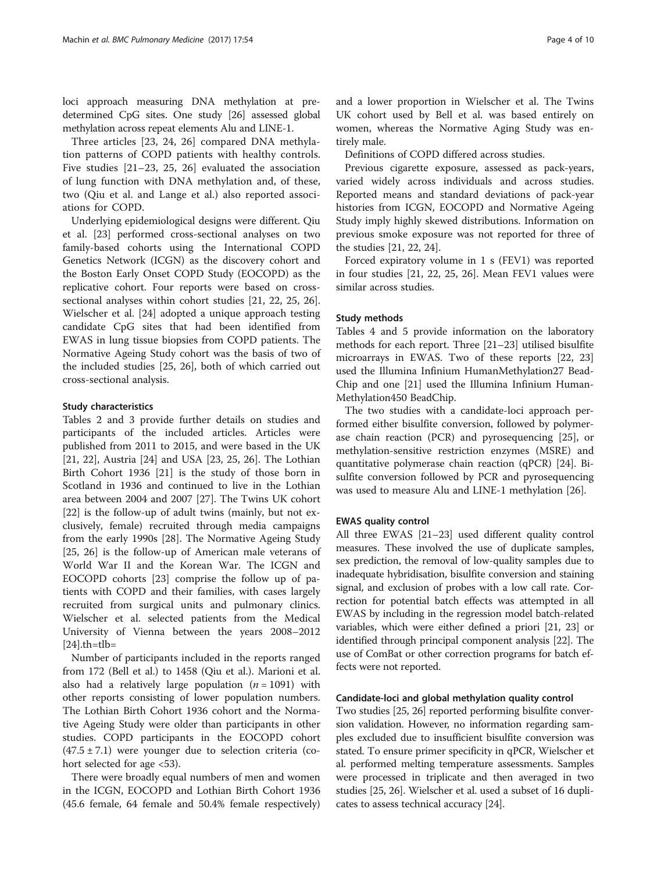loci approach measuring DNA methylation at predetermined CpG sites. One study [[26\]](#page-8-0) assessed global methylation across repeat elements Alu and LINE-1.

Three articles [\[23](#page-8-0), [24, 26](#page-8-0)] compared DNA methylation patterns of COPD patients with healthy controls. Five studies [\[21](#page-8-0)–[23](#page-8-0), [25](#page-8-0), [26](#page-8-0)] evaluated the association of lung function with DNA methylation and, of these, two (Qiu et al. and Lange et al.) also reported associations for COPD.

Underlying epidemiological designs were different. Qiu et al. [[23\]](#page-8-0) performed cross-sectional analyses on two family-based cohorts using the International COPD Genetics Network (ICGN) as the discovery cohort and the Boston Early Onset COPD Study (EOCOPD) as the replicative cohort. Four reports were based on crosssectional analyses within cohort studies [\[21](#page-8-0), [22, 25, 26](#page-8-0)]. Wielscher et al. [[24\]](#page-8-0) adopted a unique approach testing candidate CpG sites that had been identified from EWAS in lung tissue biopsies from COPD patients. The Normative Ageing Study cohort was the basis of two of the included studies [[25](#page-8-0), [26](#page-8-0)], both of which carried out cross-sectional analysis.

## Study characteristics

Tables [2](#page-4-0) and [3](#page-5-0) provide further details on studies and participants of the included articles. Articles were published from 2011 to 2015, and were based in the UK [[21, 22\]](#page-8-0), Austria [\[24\]](#page-8-0) and USA [\[23](#page-8-0), [25, 26\]](#page-8-0). The Lothian Birth Cohort 1936 [\[21\]](#page-8-0) is the study of those born in Scotland in 1936 and continued to live in the Lothian area between 2004 and 2007 [\[27\]](#page-8-0). The Twins UK cohort [[22\]](#page-8-0) is the follow-up of adult twins (mainly, but not exclusively, female) recruited through media campaigns from the early 1990s [[28\]](#page-8-0). The Normative Ageing Study [[25, 26\]](#page-8-0) is the follow-up of American male veterans of World War II and the Korean War. The ICGN and EOCOPD cohorts [[23\]](#page-8-0) comprise the follow up of patients with COPD and their families, with cases largely recruited from surgical units and pulmonary clinics. Wielscher et al. selected patients from the Medical University of Vienna between the years 2008–2012  $[24].$  $[24].$  $[24].$ th=tlb=

Number of participants included in the reports ranged from 172 (Bell et al.) to 1458 (Qiu et al.). Marioni et al. also had a relatively large population  $(n = 1091)$  with other reports consisting of lower population numbers. The Lothian Birth Cohort 1936 cohort and the Normative Ageing Study were older than participants in other studies. COPD participants in the EOCOPD cohort  $(47.5 \pm 7.1)$  were younger due to selection criteria (cohort selected for age <53).

There were broadly equal numbers of men and women in the ICGN, EOCOPD and Lothian Birth Cohort 1936 (45.6 female, 64 female and 50.4% female respectively)

and a lower proportion in Wielscher et al. The Twins UK cohort used by Bell et al. was based entirely on women, whereas the Normative Aging Study was entirely male.

Definitions of COPD differed across studies.

Previous cigarette exposure, assessed as pack-years, varied widely across individuals and across studies. Reported means and standard deviations of pack-year histories from ICGN, EOCOPD and Normative Ageing Study imply highly skewed distributions. Information on previous smoke exposure was not reported for three of the studies [[21, 22, 24\]](#page-8-0).

Forced expiratory volume in 1 s (FEV1) was reported in four studies [\[21, 22](#page-8-0), [25](#page-8-0), [26\]](#page-8-0). Mean FEV1 values were similar across studies.

## Study methods

Tables [4](#page-5-0) and [5](#page-6-0) provide information on the laboratory methods for each report. Three [\[21](#page-8-0)–[23\]](#page-8-0) utilised bisulfite microarrays in EWAS. Two of these reports [\[22](#page-8-0), [23](#page-8-0)] used the Illumina Infinium HumanMethylation27 Bead-Chip and one [[21](#page-8-0)] used the Illumina Infinium Human-Methylation450 BeadChip.

The two studies with a candidate-loci approach performed either bisulfite conversion, followed by polymerase chain reaction (PCR) and pyrosequencing [[25](#page-8-0)], or methylation-sensitive restriction enzymes (MSRE) and quantitative polymerase chain reaction (qPCR) [[24](#page-8-0)]. Bisulfite conversion followed by PCR and pyrosequencing was used to measure Alu and LINE-1 methylation [[26](#page-8-0)].

## EWAS quality control

All three EWAS [\[21](#page-8-0)–[23](#page-8-0)] used different quality control measures. These involved the use of duplicate samples, sex prediction, the removal of low-quality samples due to inadequate hybridisation, bisulfite conversion and staining signal, and exclusion of probes with a low call rate. Correction for potential batch effects was attempted in all EWAS by including in the regression model batch-related variables, which were either defined a priori [[21](#page-8-0), [23](#page-8-0)] or identified through principal component analysis [[22](#page-8-0)]. The use of ComBat or other correction programs for batch effects were not reported.

## Candidate-loci and global methylation quality control

Two studies [\[25, 26](#page-8-0)] reported performing bisulfite conversion validation. However, no information regarding samples excluded due to insufficient bisulfite conversion was stated. To ensure primer specificity in qPCR, Wielscher et al. performed melting temperature assessments. Samples were processed in triplicate and then averaged in two studies [\[25, 26](#page-8-0)]. Wielscher et al. used a subset of 16 duplicates to assess technical accuracy [[24\]](#page-8-0).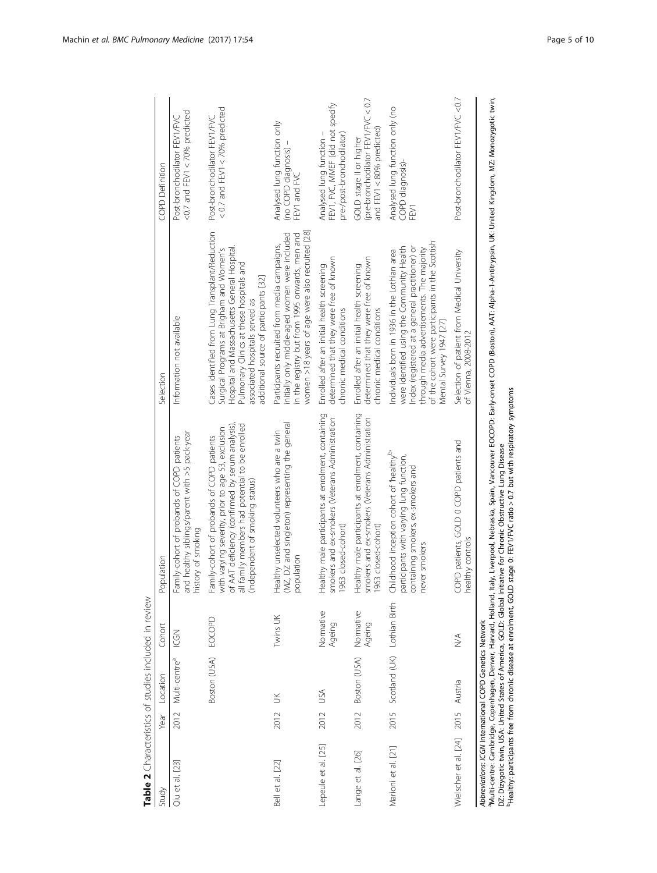<span id="page-4-0"></span>

| Table 2 Characteristics of studies included in review                                                                                  |          |                                  |                     |                                                                                                                                                                                                                                                    |                                                                                                                                                                                                                                                                           |                                                                                            |
|----------------------------------------------------------------------------------------------------------------------------------------|----------|----------------------------------|---------------------|----------------------------------------------------------------------------------------------------------------------------------------------------------------------------------------------------------------------------------------------------|---------------------------------------------------------------------------------------------------------------------------------------------------------------------------------------------------------------------------------------------------------------------------|--------------------------------------------------------------------------------------------|
| Study                                                                                                                                  | Year     | Location                         | Cohort              | Population                                                                                                                                                                                                                                         | Selection                                                                                                                                                                                                                                                                 | COPD Definition                                                                            |
| Qiu et al. [23]                                                                                                                        | 2012     | Multi-centre <sup>a</sup>        | <b>KOL</b>          | and healthy siblings/parent with >5 pack-year<br>Family-cohort of probands of COPD patients<br>history of smoking                                                                                                                                  | Information not available                                                                                                                                                                                                                                                 | <0.7 and $FEVI < 70%$ predicted<br>Post-bronchodilator FEV1/FVC                            |
|                                                                                                                                        |          | Boston (USA) EOCOPD              |                     | of AAT deficiency (confirmed by serum analysis).<br>all family members had potential to be enrolled<br>with varying severity, prior to age 53, exclusion<br>Family-cohort of probands of COPD patients<br>(independent of smoking status)          | Cases identified from Lung Transplant/Reduction<br>Hospital and Massachusetts General Hospital<br>Surgical Programs at Brigham and Women's<br>Pulmonary Clinics at these hospitals and<br>additional source of participants [32]<br>associated hospitals served as        | < 0.7 and FEV1 $<$ 70% predicted<br>Post-bronchodilator FEV1/FVC                           |
| Bell et al. [22]                                                                                                                       | 2012     | $\leq$                           | Twins UK            | (MZ, DZ and singleton) representing the general<br>Healthy unselected volunteers who are a twin<br>population                                                                                                                                      | women >18 years of age were also recruited [28]<br>initially only middle-aged women were included<br>in the registry but from 1995 onwards, men and<br>Participants recruited from media campaigns,                                                                       | Analysed lung function only<br>(no COPD diagnosis) -<br>FEV1 and FVC                       |
| Lepeule et al. [25]                                                                                                                    | 2012 USA |                                  | Normative<br>Ageing | Healthy male participants at enrolment, containing<br>smokers and ex-smokers (Veterans Administration<br>1963 closed-cohort)                                                                                                                       | determined that they were free of known<br>Enrolled after an initial health screening<br>chronic medical conditions                                                                                                                                                       | FEV1, FVC, MMEF (did not specify<br>Analysed lung function -<br>pre-/post-bronchodilator)  |
| Lange et al. [26]                                                                                                                      |          | 2012 Boston (USA)                | Normative<br>Ageing | Healthy male participants at enrolment, containing<br>smokers and ex-smokers (Veterans Administration<br>1963 closed-cohort)                                                                                                                       | determined that they were free of known<br>Enrolled after an initial health screening<br>chronic medical conditions                                                                                                                                                       | (pre-bronchodilator FEV1/FVC < 0.7<br>and FEV1 < 80% predicted)<br>GOLD stage II or higher |
| Marioni et al. [21]                                                                                                                    |          | 2015 Scotland (UK) Lothian Birth |                     | Childhood inception cohort of 'healthy <sup>b'</sup><br>participants with varying lung function,<br>containing smokers, ex-smokers and<br>never smokers                                                                                            | of the cohort were participants in the Scottish<br>were identified using the Community Health<br>Index (registered at a general practitioner) or<br>through media advertisements. The majority<br>Individuals born in 1936 in the Lothian area<br>Mental Survey 1947 [27] | Analysed lung function only (no<br>COPD diagnosis)-<br>FEV1                                |
| Wielscher et al. [24] 2015 Austria                                                                                                     |          |                                  | ₹                   | COPD patients, GOLD 0 COPD patients and<br>healthy controls                                                                                                                                                                                        | Selection of patient from Medical University<br>of Vienna, 2008-2012                                                                                                                                                                                                      | Post-bronchodilator FEV1/FVC <0.7                                                          |
| <sup>a</sup> Multi-centre: Cambridge, Copenhagen, Denver, Harvard, Holland,<br>Abbreviations: ICGN International COPD Genetics Network |          |                                  |                     | Phealthy: participants free from chronic disease at enrolment, GOLD stage 0: FEV1/FVC ratio > 0.7 but with respiratory symptoms<br>DZ: Dizygotic twin, USA: United States of America, GOLD: Global Initiative for Chronic Obstructive Lung Disease | Italy, Liverpool, Nebraska, Spain, Vancouver EOCOPD: Early-onset COPD (Boston), AAT: Alpha-1-Antitrypsin, UK: United Kingdom, MZ: Monozygotic twin,                                                                                                                       |                                                                                            |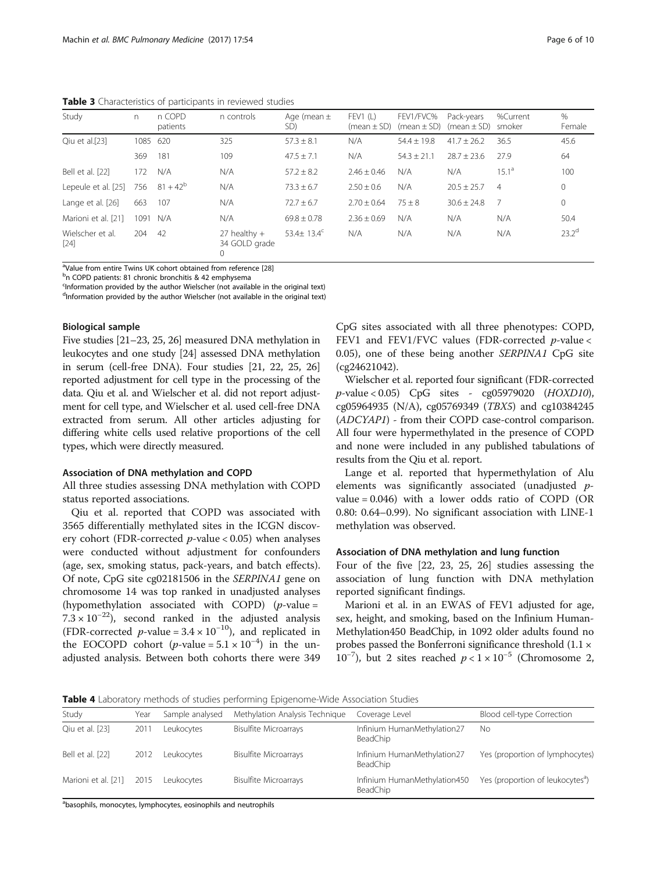<span id="page-5-0"></span>Table 3 Characteristics of participants in reviewed studies

| Study                      | n.   | n COPD<br>patients | n controls                           | Age (mean $\pm$<br>SD) | FEV1(L)<br>$(mean \pm SD)$ | FEV1/FVC%<br>$(mean \pm SD)$ | Pack-years<br>$(mean \pm SD)$ | %Current<br>smoker | $\%$<br>Female |
|----------------------------|------|--------------------|--------------------------------------|------------------------|----------------------------|------------------------------|-------------------------------|--------------------|----------------|
| Qiu et al.[23]             |      | 1085 620           | 325                                  | $57.3 \pm 8.1$         | N/A                        | $54.4 + 19.8$                | $41.7 \pm 26.2$               | 36.5               | 45.6           |
|                            | 369  | 181                | 109                                  | $47.5 \pm 7.1$         | N/A                        | $54.3 + 21.1$                | $78.7 + 73.6$                 | 27.9               | 64             |
| Bell et al. [22]           | 172  | N/A                | N/A                                  | $57.2 \pm 8.2$         | $2.46 \pm 0.46$            | N/A                          | N/A                           | $15.1^a$           | 100            |
| Lepeule et al. [25]        | 756  | $81 + 42^b$        | N/A                                  | $73.3 \pm 6.7$         | $2.50 + 0.6$               | N/A                          | $20.5 \pm 25.7$               | $\overline{4}$     | 0              |
| Lange et al. [26]          | 663  | 107                | N/A                                  | $72.7 \pm 6.7$         | $2.70 + 0.64$              | $75 + 8$                     | $30.6 \pm 24.8$               | 7                  | 0              |
| Marioni et al. [21]        | 1091 | N/A                | N/A                                  | $69.8 \pm 0.78$        | $2.36 + 0.69$              | N/A                          | N/A                           | N/A                | 50.4           |
| Wielscher et al.<br>$[24]$ | 204  | 42                 | 27 healthy $+$<br>34 GOLD grade<br>0 | 53.4 $\pm$ 13.4 $^{c}$ | N/A                        | N/A                          | N/A                           | N/A                | $23.2^d$       |

<sup>a</sup>Value from entire Twins UK cohort obtained from reference [\[28](#page-8-0)]<br><sup>b</sup>n COPD patients: 81 chronic bronchitis 8, 42 emphysema

<sup>b</sup>n COPD patients: 81 chronic bronchitis & 42 emphysema

<sup>c</sup>Information provided by the author Wielscher (not available in the original text)

d<sub>Information provided by the author Wielscher (not available in the original text)</sub>

## Biological sample

Five studies [[21](#page-8-0)–[23](#page-8-0), [25, 26\]](#page-8-0) measured DNA methylation in leukocytes and one study [[24](#page-8-0)] assessed DNA methylation in serum (cell-free DNA). Four studies [\[21, 22](#page-8-0), [25, 26](#page-8-0)] reported adjustment for cell type in the processing of the data. Qiu et al. and Wielscher et al. did not report adjustment for cell type, and Wielscher et al. used cell-free DNA extracted from serum. All other articles adjusting for differing white cells used relative proportions of the cell types, which were directly measured.

#### Association of DNA methylation and COPD

All three studies assessing DNA methylation with COPD status reported associations.

Qiu et al. reported that COPD was associated with 3565 differentially methylated sites in the ICGN discovery cohort (FDR-corrected  $p$ -value < 0.05) when analyses were conducted without adjustment for confounders (age, sex, smoking status, pack-years, and batch effects). Of note, CpG site cg02181506 in the SERPINA1 gene on chromosome 14 was top ranked in unadjusted analyses (hypomethylation associated with COPD)  $(p$ -value =  $7.3 \times 10^{-22}$ ), second ranked in the adjusted analysis (FDR-corrected *p*-value =  $3.4 \times 10^{-10}$ ), and replicated in the EOCOPD cohort (*p*-value =  $5.1 \times 10^{-4}$ ) in the unadjusted analysis. Between both cohorts there were 349 CpG sites associated with all three phenotypes: COPD, FEV1 and FEV1/FVC values (FDR-corrected  $p$ -value < 0.05), one of these being another SERPINA1 CpG site (cg24621042).

Wielscher et al. reported four significant (FDR-corrected p-value < 0.05) CpG sites - cg05979020 (HOXD10), cg05964935 (N/A), cg05769349 (TBX5) and cg10384245 (ADCYAP1) - from their COPD case-control comparison. All four were hypermethylated in the presence of COPD and none were included in any published tabulations of results from the Qiu et al. report.

Lange et al. reported that hypermethylation of Alu elements was significantly associated (unadjusted pvalue = 0.046) with a lower odds ratio of COPD (OR 0.80: 0.64–0.99). No significant association with LINE-1 methylation was observed.

## Association of DNA methylation and lung function

Four of the five [\[22, 23, 25, 26\]](#page-8-0) studies assessing the association of lung function with DNA methylation reported significant findings.

Marioni et al. in an EWAS of FEV1 adjusted for age, sex, height, and smoking, based on the Infinium Human-Methylation450 BeadChip, in 1092 older adults found no probes passed the Bonferroni significance threshold (1.1 × 10<sup>-7</sup>), but 2 sites reached  $p < 1 \times 10^{-5}$  (Chromosome 2,

**Table 4** Laboratory methods of studies performing Epigenome-Wide Association Studies

| Study               | Year | Sample analysed | Methylation Analysis Technique | Coverage Level                           | Blood cell-type Correction                   |
|---------------------|------|-----------------|--------------------------------|------------------------------------------|----------------------------------------------|
| Qiu et al. [23]     | 2011 | Leukocytes      | <b>Bisulfite Microarrays</b>   | Infinium HumanMethylation27<br>BeadChip  | No                                           |
| Bell et al. [22]    | 2012 | Leukocytes      | <b>Bisulfite Microarrays</b>   | Infinium HumanMethylation27<br>BeadChip  | Yes (proportion of lymphocytes)              |
| Marioni et al. [21] | 2015 | Leukocytes      | <b>Bisulfite Microarrays</b>   | Infinium HumanMethylation450<br>BeadChip | Yes (proportion of leukocytes <sup>a</sup> ) |

<sup>a</sup>basophils, monocytes, lymphocytes, eosinophils and neutrophils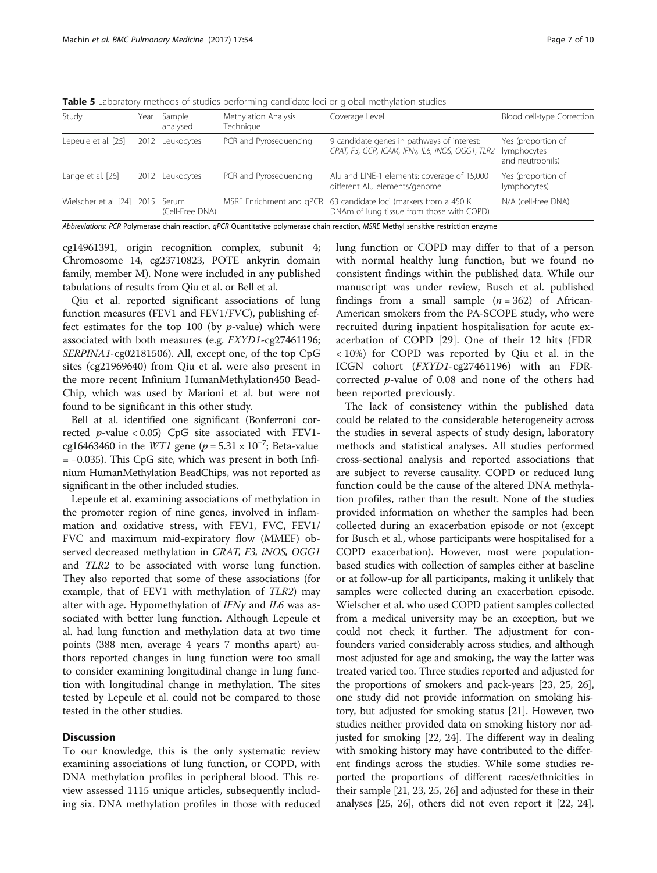<span id="page-6-0"></span>Table 5 Laboratory methods of studies performing candidate-loci or global methylation studies

| Study                 | Year | Sample<br>analysed            | Methylation Analysis<br>Technique | Coverage Level                                                                                                 | Blood cell-type Correction                            |
|-----------------------|------|-------------------------------|-----------------------------------|----------------------------------------------------------------------------------------------------------------|-------------------------------------------------------|
| Lepeule et al. [25]   |      | 2012 Leukocytes               | PCR and Pyrosequencing            | 9 candidate genes in pathways of interest:<br>CRAT, F3, GCR, ICAM, IFNy, IL6, INOS, OGG1, TLR2                 | Yes (proportion of<br>lymphocytes<br>and neutrophils) |
| Lange et al. [26]     |      | 2012 Leukocytes               | PCR and Pyrosequencing            | Alu and LINE-1 elements: coverage of 15,000<br>different Alu elements/genome.                                  | Yes (proportion of<br>lymphocytes)                    |
| Wielscher et al. [24] |      | 2015 Serum<br>(Cell-Free DNA) |                                   | MSRE Enrichment and qPCR 63 candidate loci (markers from a 450 K)<br>DNAm of lung tissue from those with COPD) | N/A (cell-free DNA)                                   |
|                       |      |                               |                                   |                                                                                                                |                                                       |

Abbreviations: PCR Polymerase chain reaction, qPCR Quantitative polymerase chain reaction, MSRE Methyl sensitive restriction enzyme

cg14961391, origin recognition complex, subunit 4; Chromosome 14, cg23710823, POTE ankyrin domain family, member M). None were included in any published tabulations of results from Qiu et al. or Bell et al.

Qiu et al. reported significant associations of lung function measures (FEV1 and FEV1/FVC), publishing effect estimates for the top 100 (by  $p$ -value) which were associated with both measures (e.g. FXYD1-cg27461196; SERPINA1-cg02181506). All, except one, of the top CpG sites (cg21969640) from Qiu et al. were also present in the more recent Infinium HumanMethylation450 Bead-Chip, which was used by Marioni et al. but were not found to be significant in this other study.

Bell at al. identified one significant (Bonferroni corrected  $p$ -value < 0.05) CpG site associated with FEV1cg16463460 in the *WT1* gene ( $p = 5.31 \times 10^{-7}$ ; Beta-value  $= -0.035$ ). This CpG site, which was present in both Infinium HumanMethylation BeadChips, was not reported as significant in the other included studies.

Lepeule et al. examining associations of methylation in the promoter region of nine genes, involved in inflammation and oxidative stress, with FEV1, FVC, FEV1/ FVC and maximum mid-expiratory flow (MMEF) observed decreased methylation in CRAT, F3, iNOS, OGG1 and TLR2 to be associated with worse lung function. They also reported that some of these associations (for example, that of FEV1 with methylation of TLR2) may alter with age. Hypomethylation of IFNy and IL6 was associated with better lung function. Although Lepeule et al. had lung function and methylation data at two time points (388 men, average 4 years 7 months apart) authors reported changes in lung function were too small to consider examining longitudinal change in lung function with longitudinal change in methylation. The sites tested by Lepeule et al. could not be compared to those tested in the other studies.

## Discussion

To our knowledge, this is the only systematic review examining associations of lung function, or COPD, with DNA methylation profiles in peripheral blood. This review assessed 1115 unique articles, subsequently including six. DNA methylation profiles in those with reduced lung function or COPD may differ to that of a person with normal healthy lung function, but we found no consistent findings within the published data. While our manuscript was under review, Busch et al. published findings from a small sample  $(n = 362)$  of African-American smokers from the PA-SCOPE study, who were recruited during inpatient hospitalisation for acute exacerbation of COPD [[29\]](#page-8-0). One of their 12 hits (FDR < 10%) for COPD was reported by Qiu et al. in the ICGN cohort (FXYD1-cg27461196) with an FDRcorrected p-value of 0.08 and none of the others had been reported previously.

The lack of consistency within the published data could be related to the considerable heterogeneity across the studies in several aspects of study design, laboratory methods and statistical analyses. All studies performed cross-sectional analysis and reported associations that are subject to reverse causality. COPD or reduced lung function could be the cause of the altered DNA methylation profiles, rather than the result. None of the studies provided information on whether the samples had been collected during an exacerbation episode or not (except for Busch et al., whose participants were hospitalised for a COPD exacerbation). However, most were populationbased studies with collection of samples either at baseline or at follow-up for all participants, making it unlikely that samples were collected during an exacerbation episode. Wielscher et al. who used COPD patient samples collected from a medical university may be an exception, but we could not check it further. The adjustment for confounders varied considerably across studies, and although most adjusted for age and smoking, the way the latter was treated varied too. Three studies reported and adjusted for the proportions of smokers and pack-years [[23](#page-8-0), [25](#page-8-0), [26](#page-8-0)], one study did not provide information on smoking history, but adjusted for smoking status [[21](#page-8-0)]. However, two studies neither provided data on smoking history nor adjusted for smoking [\[22, 24](#page-8-0)]. The different way in dealing with smoking history may have contributed to the different findings across the studies. While some studies reported the proportions of different races/ethnicities in their sample [[21, 23, 25](#page-8-0), [26\]](#page-8-0) and adjusted for these in their analyses [\[25](#page-8-0), [26](#page-8-0)], others did not even report it [[22](#page-8-0), [24](#page-8-0)].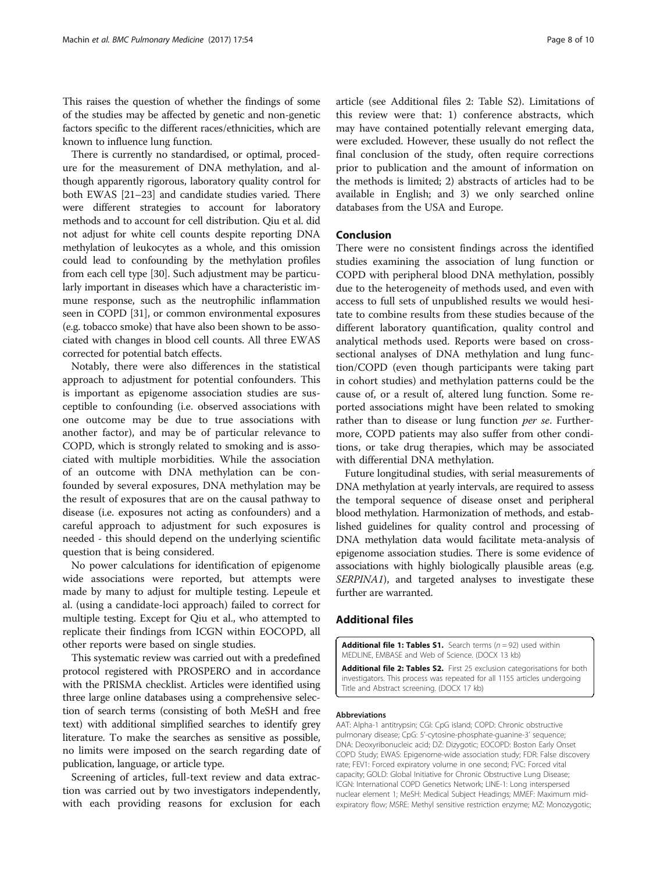<span id="page-7-0"></span>This raises the question of whether the findings of some of the studies may be affected by genetic and non-genetic factors specific to the different races/ethnicities, which are known to influence lung function.

There is currently no standardised, or optimal, procedure for the measurement of DNA methylation, and although apparently rigorous, laboratory quality control for both EWAS [[21](#page-8-0)–[23\]](#page-8-0) and candidate studies varied. There were different strategies to account for laboratory methods and to account for cell distribution. Qiu et al. did not adjust for white cell counts despite reporting DNA methylation of leukocytes as a whole, and this omission could lead to confounding by the methylation profiles from each cell type [\[30\]](#page-8-0). Such adjustment may be particularly important in diseases which have a characteristic immune response, such as the neutrophilic inflammation seen in COPD [\[31\]](#page-8-0), or common environmental exposures (e.g. tobacco smoke) that have also been shown to be associated with changes in blood cell counts. All three EWAS corrected for potential batch effects.

Notably, there were also differences in the statistical approach to adjustment for potential confounders. This is important as epigenome association studies are susceptible to confounding (i.e. observed associations with one outcome may be due to true associations with another factor), and may be of particular relevance to COPD, which is strongly related to smoking and is associated with multiple morbidities. While the association of an outcome with DNA methylation can be confounded by several exposures, DNA methylation may be the result of exposures that are on the causal pathway to disease (i.e. exposures not acting as confounders) and a careful approach to adjustment for such exposures is needed - this should depend on the underlying scientific question that is being considered.

No power calculations for identification of epigenome wide associations were reported, but attempts were made by many to adjust for multiple testing. Lepeule et al. (using a candidate-loci approach) failed to correct for multiple testing. Except for Qiu et al., who attempted to replicate their findings from ICGN within EOCOPD, all other reports were based on single studies.

This systematic review was carried out with a predefined protocol registered with PROSPERO and in accordance with the PRISMA checklist. Articles were identified using three large online databases using a comprehensive selection of search terms (consisting of both MeSH and free text) with additional simplified searches to identify grey literature. To make the searches as sensitive as possible, no limits were imposed on the search regarding date of publication, language, or article type.

Screening of articles, full-text review and data extraction was carried out by two investigators independently, with each providing reasons for exclusion for each article (see Additional files 2: Table S2). Limitations of this review were that: 1) conference abstracts, which may have contained potentially relevant emerging data, were excluded. However, these usually do not reflect the final conclusion of the study, often require corrections prior to publication and the amount of information on the methods is limited; 2) abstracts of articles had to be available in English; and 3) we only searched online databases from the USA and Europe.

## Conclusion

There were no consistent findings across the identified studies examining the association of lung function or COPD with peripheral blood DNA methylation, possibly due to the heterogeneity of methods used, and even with access to full sets of unpublished results we would hesitate to combine results from these studies because of the different laboratory quantification, quality control and analytical methods used. Reports were based on crosssectional analyses of DNA methylation and lung function/COPD (even though participants were taking part in cohort studies) and methylation patterns could be the cause of, or a result of, altered lung function. Some reported associations might have been related to smoking rather than to disease or lung function per se. Furthermore, COPD patients may also suffer from other conditions, or take drug therapies, which may be associated with differential DNA methylation.

Future longitudinal studies, with serial measurements of DNA methylation at yearly intervals, are required to assess the temporal sequence of disease onset and peripheral blood methylation. Harmonization of methods, and established guidelines for quality control and processing of DNA methylation data would facilitate meta-analysis of epigenome association studies. There is some evidence of associations with highly biologically plausible areas (e.g. SERPINA1), and targeted analyses to investigate these further are warranted.

## Additional files

**[Additional file 1: Tables S1.](dx.doi.org/10.1186/s12890-017-0397-3)** Search terms ( $n = 92$ ) used within MEDLINE, EMBASE and Web of Science. (DOCX 13 kb)

[Additional file 2: Tables S2.](dx.doi.org/10.1186/s12890-017-0397-3) First 25 exclusion categorisations for both investigators. This process was repeated for all 1155 articles undergoing Title and Abstract screening. (DOCX 17 kb)

#### Abbreviations

AAT: Alpha-1 antitrypsin; CGI: CpG island; COPD: Chronic obstructive pulmonary disease; CpG: 5'-cytosine-phosphate-guanine-3' sequence; DNA: Deoxyribonucleic acid; DZ: Dizygotic; EOCOPD: Boston Early Onset COPD Study; EWAS: Epigenome-wide association study; FDR: False discovery rate; FEV1: Forced expiratory volume in one second; FVC: Forced vital capacity; GOLD: Global Initiative for Chronic Obstructive Lung Disease; ICGN: International COPD Genetics Network; LINE-1: Long interspersed nuclear element 1; MeSH: Medical Subject Headings; MMEF: Maximum midexpiratory flow; MSRE: Methyl sensitive restriction enzyme; MZ: Monozygotic;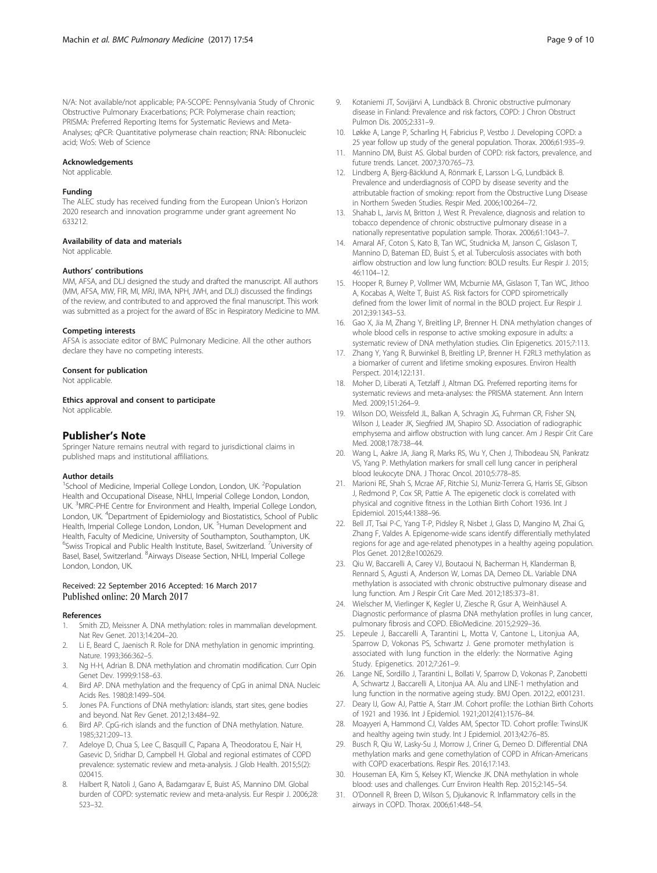<span id="page-8-0"></span>N/A: Not available/not applicable; PA-SCOPE: Pennsylvania Study of Chronic Obstructive Pulmonary Exacerbations; PCR: Polymerase chain reaction; PRISMA: Preferred Reporting Items for Systematic Reviews and Meta-Analyses; qPCR: Quantitative polymerase chain reaction; RNA: Ribonucleic acid; WoS: Web of Science

#### Acknowledgements

Not applicable.

#### Funding

The ALEC study has received funding from the European Union's Horizon 2020 research and innovation programme under grant agreement No 633212.

#### Availability of data and materials

Not applicable.

#### Authors' contributions

MM, AFSA, and DLJ designed the study and drafted the manuscript. All authors (MM, AFSA, MW, FIR, MI, MRJ, IMA, NPH, JWH, and DLJ) discussed the findings of the review, and contributed to and approved the final manuscript. This work was submitted as a project for the award of BSc in Respiratory Medicine to MM.

#### Competing interests

AFSA is associate editor of BMC Pulmonary Medicine. All the other authors declare they have no competing interests.

#### Consent for publication

Not applicable.

Ethics approval and consent to participate Not applicable

#### Publisher's Note

Springer Nature remains neutral with regard to jurisdictional claims in published maps and institutional affiliations.

#### Author details

<sup>1</sup>School of Medicine, Imperial College London, London, UK.<sup>2</sup>Population Health and Occupational Disease, NHLI, Imperial College London, London, UK. <sup>3</sup>MRC-PHE Centre for Environment and Health, Imperial College London, London, UK. <sup>4</sup> Department of Epidemiology and Biostatistics, School of Public Health, Imperial College London, London, UK. <sup>5</sup>Human Development and Health, Faculty of Medicine, University of Southampton, Southampton, UK. <sup>6</sup>Swiss Tropical and Public Health Institute, Basel, Switzerland. <sup>7</sup>University of Basel, Basel, Switzerland. <sup>8</sup>Airways Disease Section, NHLI, Imperial College London, London, UK.

## Received: 22 September 2016 Accepted: 16 March 2017 Published online: 20 March 2017

#### References

- 1. Smith ZD, Meissner A. DNA methylation: roles in mammalian development. Nat Rev Genet. 2013;14:204–20.
- Li E, Beard C, Jaenisch R. Role for DNA methylation in genomic imprinting. Nature. 1993;366:362–5.
- 3. Ng H-H, Adrian B. DNA methylation and chromatin modification. Curr Opin Genet Dev. 1999;9:158–63.
- 4. Bird AP. DNA methylation and the frequency of CpG in animal DNA. Nucleic Acids Res. 1980;8:1499–504.
- Jones PA. Functions of DNA methylation: islands, start sites, gene bodies and beyond. Nat Rev Genet. 2012;13:484–92.
- 6. Bird AP. CpG-rich islands and the function of DNA methylation. Nature. 1985;321:209–13.
- 7. Adeloye D, Chua S, Lee C, Basquill C, Papana A, Theodoratou E, Nair H, Gasevic D, Sridhar D, Campbell H. Global and regional estimates of COPD prevalence: systematic review and meta-analysis. J Glob Health. 2015;5(2): 020415.
- 8. Halbert R, Natoli J, Gano A, Badamgarav E, Buist AS, Mannino DM. Global burden of COPD: systematic review and meta-analysis. Eur Respir J. 2006;28: 523–32.
- 9. Kotaniemi JT, Sovijärvi A, Lundbäck B. Chronic obstructive pulmonary disease in Finland: Prevalence and risk factors, COPD: J Chron Obstruct Pulmon Dis. 2005;2:331–9.
- 10. Løkke A, Lange P, Scharling H, Fabricius P, Vestbo J. Developing COPD: a 25 year follow up study of the general population. Thorax. 2006;61:935–9.
- 11. Mannino DM, Buist AS. Global burden of COPD: risk factors, prevalence, and future trends. Lancet. 2007;370:765–73.
- 12. Lindberg A, Bjerg-Bäcklund A, Rönmark E, Larsson L-G, Lundbäck B. Prevalence and underdiagnosis of COPD by disease severity and the attributable fraction of smoking: report from the Obstructive Lung Disease in Northern Sweden Studies. Respir Med. 2006;100:264–72.
- 13. Shahab L, Jarvis M, Britton J, West R. Prevalence, diagnosis and relation to tobacco dependence of chronic obstructive pulmonary disease in a nationally representative population sample. Thorax. 2006;61:1043–7.
- 14. Amaral AF, Coton S, Kato B, Tan WC, Studnicka M, Janson C, Gislason T, Mannino D, Bateman ED, Buist S, et al. Tuberculosis associates with both airflow obstruction and low lung function: BOLD results. Eur Respir J. 2015; 46:1104–12.
- 15. Hooper R, Burney P, Vollmer WM, Mcburnie MA, Gislason T, Tan WC, Jithoo A, Kocabas A, Welte T, Buist AS. Risk factors for COPD spirometrically defined from the lower limit of normal in the BOLD project. Eur Respir J. 2012;39:1343–53.
- 16. Gao X, Jia M, Zhang Y, Breitling LP, Brenner H. DNA methylation changes of whole blood cells in response to active smoking exposure in adults: a systematic review of DNA methylation studies. Clin Epigenetics. 2015;7:113.
- 17. Zhang Y, Yang R, Burwinkel B, Breitling LP, Brenner H. F2RL3 methylation as a biomarker of current and lifetime smoking exposures. Environ Health Perspect. 2014;122:131.
- 18. Moher D, Liberati A, Tetzlaff J, Altman DG. Preferred reporting items for systematic reviews and meta-analyses: the PRISMA statement. Ann Intern Med. 2009;151:264–9.
- 19. Wilson DO, Weissfeld JL, Balkan A, Schragin JG, Fuhrman CR, Fisher SN, Wilson J, Leader JK, Siegfried JM, Shapiro SD. Association of radiographic emphysema and airflow obstruction with lung cancer. Am J Respir Crit Care Med. 2008;178:738–44.
- 20. Wang L, Aakre JA, Jiang R, Marks RS, Wu Y, Chen J, Thibodeau SN, Pankratz VS, Yang P. Methylation markers for small cell lung cancer in peripheral blood leukocyte DNA. J Thorac Oncol. 2010;5:778–85.
- 21. Marioni RE, Shah S, Mcrae AF, Ritchie SJ, Muniz-Terrera G, Harris SE, Gibson J, Redmond P, Cox SR, Pattie A. The epigenetic clock is correlated with physical and cognitive fitness in the Lothian Birth Cohort 1936. Int J Epidemiol. 2015;44:1388–96.
- 22. Bell JT, Tsai P-C, Yang T-P, Pidsley R, Nisbet J, Glass D, Mangino M, Zhai G, Zhang F, Valdes A. Epigenome-wide scans identify differentially methylated regions for age and age-related phenotypes in a healthy ageing population. Plos Genet. 2012;8:e1002629.
- 23. Qiu W, Baccarelli A, Carey VJ, Boutaoui N, Bacherman H, Klanderman B, Rennard S, Agusti A, Anderson W, Lomas DA, Demeo DL. Variable DNA methylation is associated with chronic obstructive pulmonary disease and lung function. Am J Respir Crit Care Med. 2012;185:373–81.
- 24. Wielscher M, Vierlinger K, Kegler U, Ziesche R, Gsur A, Weinhäusel A. Diagnostic performance of plasma DNA methylation profiles in lung cancer, pulmonary fibrosis and COPD. EBioMedicine. 2015;2:929–36.
- 25. Lepeule J, Baccarelli A, Tarantini L, Motta V, Cantone L, Litonjua AA, Sparrow D, Vokonas PS, Schwartz J. Gene promoter methylation is associated with lung function in the elderly: the Normative Aging Study. Epigenetics. 2012;7:261–9.
- 26. Lange NE, Sordillo J, Tarantini L, Bollati V, Sparrow D, Vokonas P, Zanobetti A, Schwartz J, Baccarelli A, Litonjua AA. Alu and LINE-1 methylation and lung function in the normative ageing study. BMJ Open. 2012;2, e001231.
- 27. Deary IJ, Gow AJ, Pattie A, Starr JM. Cohort profile: the Lothian Birth Cohorts of 1921 and 1936. Int J Epidemiol. 1921;2012(41):1576–84.
- 28. Moayyeri A, Hammond CJ, Valdes AM, Spector TD. Cohort profile: TwinsUK and healthy ageing twin study. Int J Epidemiol. 2013;42:76–85.
- 29. Busch R, Qiu W, Lasky-Su J, Morrow J, Criner G, Demeo D. Differential DNA methylation marks and gene comethylation of COPD in African-Americans with COPD exacerbations. Respir Res. 2016;17:143.
- 30. Houseman EA, Kim S, Kelsey KT, Wiencke JK. DNA methylation in whole blood: uses and challenges. Curr Environ Health Rep. 2015;2:145–54.
- 31. O'Donnell R, Breen D, Wilson S, Djukanovic R. Inflammatory cells in the airways in COPD. Thorax. 2006;61:448–54.